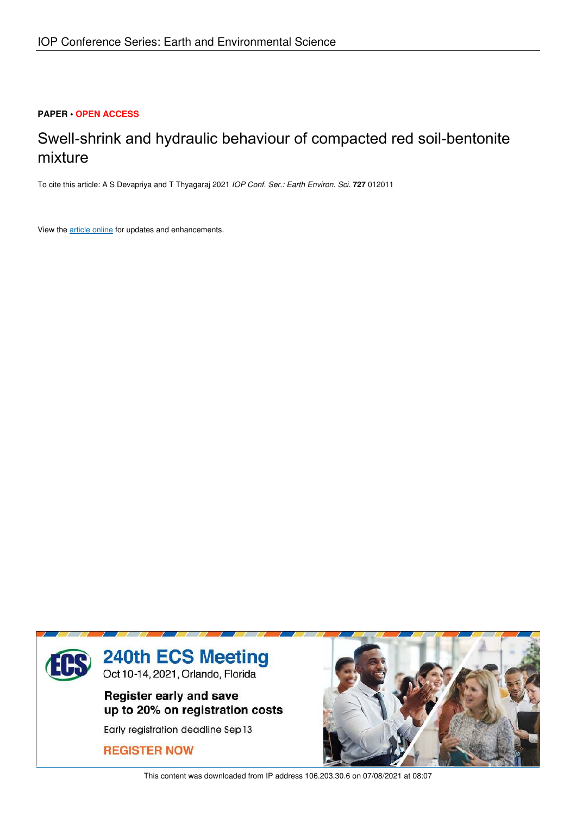# **PAPER • OPEN ACCESS**

# Swell-shrink and hydraulic behaviour of compacted red soil-bentonite mixture

To cite this article: A S Devapriya and T Thyagaraj 2021 *IOP Conf. Ser.: Earth Environ. Sci.* **727** 012011

View the article online for updates and enhancements.



This content was downloaded from IP address 106.203.30.6 on 07/08/2021 at 08:07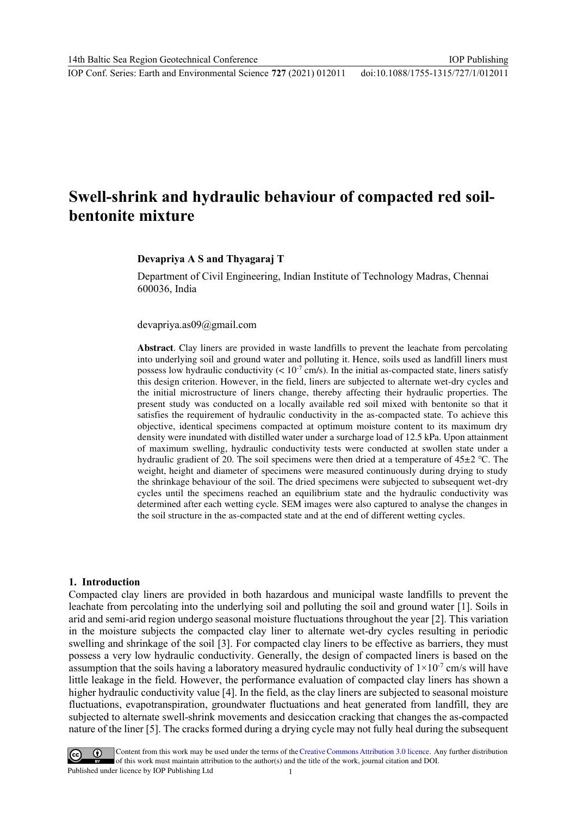# **Swell-shrink and hydraulic behaviour of compacted red soilbentonite mixture**

#### **Devapriya A S and Thyagaraj T**

Department of Civil Engineering, Indian Institute of Technology Madras, Chennai 600036, India

devapriya.as09@gmail.com

**Abstract**. Clay liners are provided in waste landfills to prevent the leachate from percolating into underlying soil and ground water and polluting it. Hence, soils used as landfill liners must possess low hydraulic conductivity  $(< 10^{-7}$  cm/s). In the initial as-compacted state, liners satisfy this design criterion. However, in the field, liners are subjected to alternate wet-dry cycles and the initial microstructure of liners change, thereby affecting their hydraulic properties. The present study was conducted on a locally available red soil mixed with bentonite so that it satisfies the requirement of hydraulic conductivity in the as-compacted state. To achieve this objective, identical specimens compacted at optimum moisture content to its maximum dry density were inundated with distilled water under a surcharge load of 12.5 kPa. Upon attainment of maximum swelling, hydraulic conductivity tests were conducted at swollen state under a hydraulic gradient of 20. The soil specimens were then dried at a temperature of 45±2 ℃. The weight, height and diameter of specimens were measured continuously during drying to study the shrinkage behaviour of the soil. The dried specimens were subjected to subsequent wet-dry cycles until the specimens reached an equilibrium state and the hydraulic conductivity was determined after each wetting cycle. SEM images were also captured to analyse the changes in the soil structure in the as-compacted state and at the end of different wetting cycles.

#### **1. Introduction**

Compacted clay liners are provided in both hazardous and municipal waste landfills to prevent the leachate from percolating into the underlying soil and polluting the soil and ground water [1]. Soils in arid and semi-arid region undergo seasonal moisture fluctuations throughout the year [2]. This variation in the moisture subjects the compacted clay liner to alternate wet-dry cycles resulting in periodic swelling and shrinkage of the soil [3]. For compacted clay liners to be effective as barriers, they must possess a very low hydraulic conductivity. Generally, the design of compacted liners is based on the assumption that the soils having a laboratory measured hydraulic conductivity of  $1\times10^{-7}$  cm/s will have little leakage in the field. However, the performance evaluation of compacted clay liners has shown a higher hydraulic conductivity value [4]. In the field, as the clay liners are subjected to seasonal moisture fluctuations, evapotranspiration, groundwater fluctuations and heat generated from landfill, they are subjected to alternate swell-shrink movements and desiccation cracking that changes the as-compacted nature of the liner [5]. The cracks formed during a drying cycle may not fully heal during the subsequent

Content from this work may be used under the terms of the Creative Commons Attribution 3.0 licence. Any further distribution of this work must maintain attribution to the author(s) and the title of the work, journal citation and DOI. Published under licence by IOP Publishing Ltd 1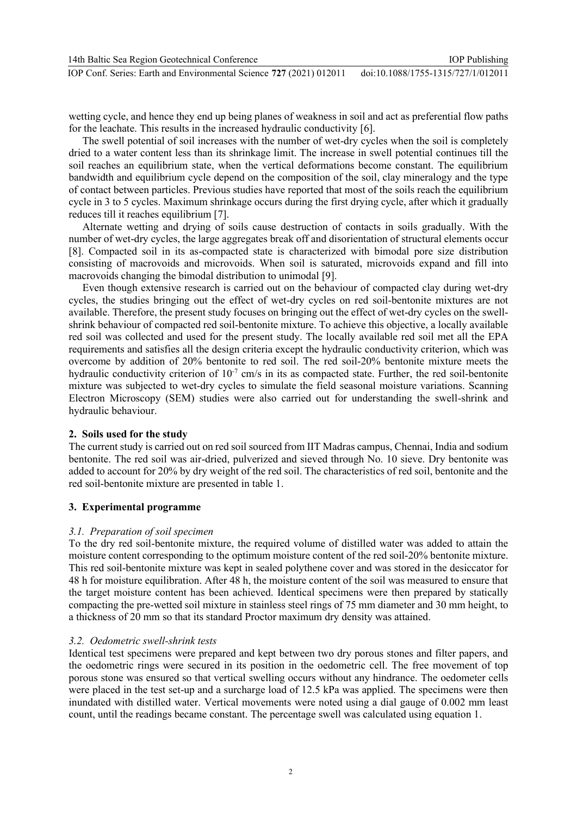wetting cycle, and hence they end up being planes of weakness in soil and act as preferential flow paths for the leachate. This results in the increased hydraulic conductivity [6].

The swell potential of soil increases with the number of wet-dry cycles when the soil is completely dried to a water content less than its shrinkage limit. The increase in swell potential continues till the soil reaches an equilibrium state, when the vertical deformations become constant. The equilibrium bandwidth and equilibrium cycle depend on the composition of the soil, clay mineralogy and the type of contact between particles. Previous studies have reported that most of the soils reach the equilibrium cycle in 3 to 5 cycles. Maximum shrinkage occurs during the first drying cycle, after which it gradually reduces till it reaches equilibrium [7].

Alternate wetting and drying of soils cause destruction of contacts in soils gradually. With the number of wet-dry cycles, the large aggregates break off and disorientation of structural elements occur [8]. Compacted soil in its as-compacted state is characterized with bimodal pore size distribution consisting of macrovoids and microvoids. When soil is saturated, microvoids expand and fill into macrovoids changing the bimodal distribution to unimodal [9].

Even though extensive research is carried out on the behaviour of compacted clay during wet-dry cycles, the studies bringing out the effect of wet-dry cycles on red soil-bentonite mixtures are not available. Therefore, the present study focuses on bringing out the effect of wet-dry cycles on the swellshrink behaviour of compacted red soil-bentonite mixture. To achieve this objective, a locally available red soil was collected and used for the present study. The locally available red soil met all the EPA requirements and satisfies all the design criteria except the hydraulic conductivity criterion, which was overcome by addition of 20% bentonite to red soil. The red soil-20% bentonite mixture meets the hydraulic conductivity criterion of  $10^{-7}$  cm/s in its as compacted state. Further, the red soil-bentonite mixture was subjected to wet-dry cycles to simulate the field seasonal moisture variations. Scanning Electron Microscopy (SEM) studies were also carried out for understanding the swell-shrink and hydraulic behaviour.

# **2. Soils used for the study**

The current study is carried out on red soil sourced from IIT Madras campus, Chennai, India and sodium bentonite. The red soil was air-dried, pulverized and sieved through No. 10 sieve. Dry bentonite was added to account for 20% by dry weight of the red soil. The characteristics of red soil, bentonite and the red soil-bentonite mixture are presented in table 1.

# **3. Experimental programme**

# *3.1. Preparation of soil specimen*

To the dry red soil-bentonite mixture, the required volume of distilled water was added to attain the moisture content corresponding to the optimum moisture content of the red soil-20% bentonite mixture. This red soil-bentonite mixture was kept in sealed polythene cover and was stored in the desiccator for 48 h for moisture equilibration. After 48 h, the moisture content of the soil was measured to ensure that the target moisture content has been achieved. Identical specimens were then prepared by statically compacting the pre-wetted soil mixture in stainless steel rings of 75 mm diameter and 30 mm height, to a thickness of 20 mm so that its standard Proctor maximum dry density was attained.

# *3.2. Oedometric swell-shrink tests*

Identical test specimens were prepared and kept between two dry porous stones and filter papers, and the oedometric rings were secured in its position in the oedometric cell. The free movement of top porous stone was ensured so that vertical swelling occurs without any hindrance. The oedometer cells were placed in the test set-up and a surcharge load of 12.5 kPa was applied. The specimens were then inundated with distilled water. Vertical movements were noted using a dial gauge of 0.002 mm least count, until the readings became constant. The percentage swell was calculated using equation 1.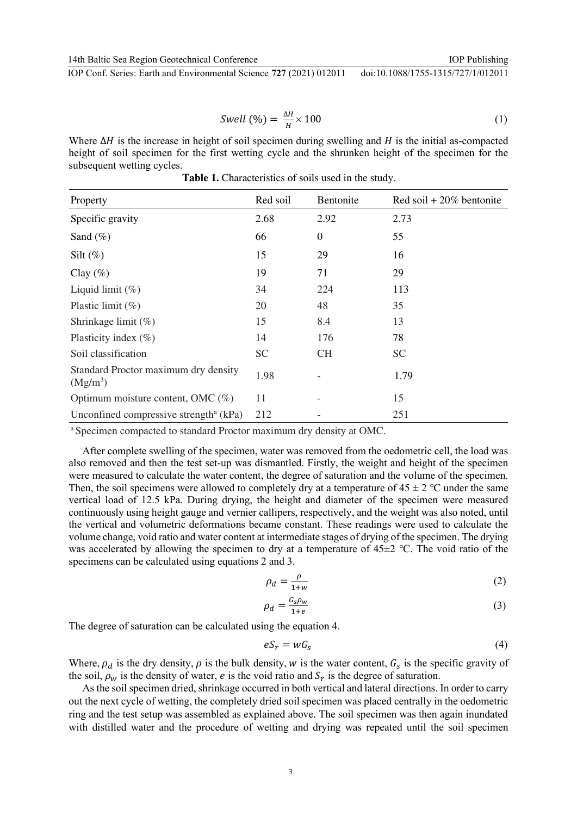IOP Conf. Series: Earth and Environmental Science **727** (2021) 012011 doi:10.1088/1755-1315/727/1/012011

$$
Swell \, (\%) = \frac{\Delta H}{H} \times 100 \tag{1}
$$

Where  $\Delta H$  is the increase in height of soil specimen during swelling and H is the initial as-compacted height of soil specimen for the first wetting cycle and the shrunken height of the specimen for the subsequent wetting cycles.

| Property                                                     | Red soil  | Bentonite        | Red soil $+20\%$ bentonite |
|--------------------------------------------------------------|-----------|------------------|----------------------------|
| Specific gravity                                             | 2.68      | 2.92             | 2.73                       |
| Sand $(\%)$                                                  | 66        | $\boldsymbol{0}$ | 55                         |
| Silt $(\%)$                                                  | 15        | 29               | 16                         |
| Clay $(\%)$                                                  | 19        | 71               | 29                         |
| Liquid limit $(\%)$                                          | 34        | 224              | 113                        |
| Plastic limit $(\%)$                                         | 20        | 48               | 35                         |
| Shrinkage limit (%)                                          | 15        | 8.4              | 13                         |
| Plasticity index $(\%)$                                      | 14        | 176              | 78                         |
| Soil classification                                          | <b>SC</b> | <b>CH</b>        | <b>SC</b>                  |
| Standard Proctor maximum dry density<br>(Mg/m <sup>3</sup> ) | 1.98      |                  | 1.79                       |
| Optimum moisture content, OMC $(\%)$                         | 11        |                  | 15                         |
| Unconfined compressive strength <sup>a</sup> ( $kPa$ )       | 212       |                  | 251                        |

Table 1. Characteristics of soils used in the study.

a Specimen compacted to standard Proctor maximum dry density at OMC.

After complete swelling of the specimen, water was removed from the oedometric cell, the load was also removed and then the test set-up was dismantled. Firstly, the weight and height of the specimen were measured to calculate the water content, the degree of saturation and the volume of the specimen. Then, the soil specimens were allowed to completely dry at a temperature of  $45 \pm 2$  °C under the same vertical load of 12.5 kPa. During drying, the height and diameter of the specimen were measured continuously using height gauge and vernier callipers, respectively, and the weight was also noted, until the vertical and volumetric deformations became constant. These readings were used to calculate the volume change, void ratio and water content at intermediate stages of drying of the specimen. The drying was accelerated by allowing the specimen to dry at a temperature of 45±2 ℃. The void ratio of the specimens can be calculated using equations 2 and 3.

$$
\rho_d = \frac{\rho}{1+w} \tag{2}
$$

$$
\rho_d = \frac{G_s \rho_w}{1+e} \tag{3}
$$

The degree of saturation can be calculated using the equation 4.

$$
eS_r = wG_s \tag{4}
$$

Where,  $\rho_d$  is the dry density,  $\rho$  is the bulk density, w is the water content,  $G_s$  is the specific gravity of the soil,  $\rho_w$  is the density of water, *e* is the void ratio and  $S_r$  is the degree of saturation.

As the soil specimen dried, shrinkage occurred in both vertical and lateral directions. In order to carry out the next cycle of wetting, the completely dried soil specimen was placed centrally in the oedometric ring and the test setup was assembled as explained above. The soil specimen was then again inundated with distilled water and the procedure of wetting and drying was repeated until the soil specimen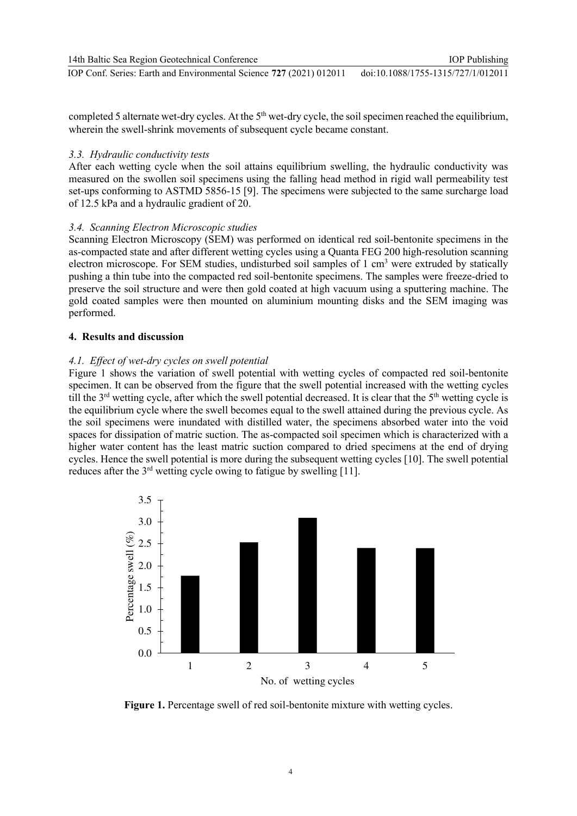completed 5 alternate wet-dry cycles. At the 5<sup>th</sup> wet-dry cycle, the soil specimen reached the equilibrium, wherein the swell-shrink movements of subsequent cycle became constant.

# *3.3. Hydraulic conductivity tests*

After each wetting cycle when the soil attains equilibrium swelling, the hydraulic conductivity was measured on the swollen soil specimens using the falling head method in rigid wall permeability test set-ups conforming to ASTMD 5856-15 [9]. The specimens were subjected to the same surcharge load of 12.5 kPa and a hydraulic gradient of 20.

# *3.4. Scanning Electron Microscopic studies*

Scanning Electron Microscopy (SEM) was performed on identical red soil-bentonite specimens in the as-compacted state and after different wetting cycles using a Quanta FEG 200 high-resolution scanning electron microscope. For SEM studies, undisturbed soil samples of 1 cm<sup>3</sup> were extruded by statically pushing a thin tube into the compacted red soil-bentonite specimens. The samples were freeze-dried to preserve the soil structure and were then gold coated at high vacuum using a sputtering machine. The gold coated samples were then mounted on aluminium mounting disks and the SEM imaging was performed.

# **4. Results and discussion**

# *4.1. Effect of wet-dry cycles on swell potential*

Figure 1 shows the variation of swell potential with wetting cycles of compacted red soil-bentonite specimen. It can be observed from the figure that the swell potential increased with the wetting cycles till the  $3<sup>rd</sup>$  wetting cycle, after which the swell potential decreased. It is clear that the  $5<sup>th</sup>$  wetting cycle is the equilibrium cycle where the swell becomes equal to the swell attained during the previous cycle. As the soil specimens were inundated with distilled water, the specimens absorbed water into the void spaces for dissipation of matric suction. The as-compacted soil specimen which is characterized with a higher water content has the least matric suction compared to dried specimens at the end of drying cycles. Hence the swell potential is more during the subsequent wetting cycles [10]. The swell potential reduces after the  $3<sup>rd</sup>$  wetting cycle owing to fatigue by swelling [11].



**Figure 1.** Percentage swell of red soil-bentonite mixture with wetting cycles.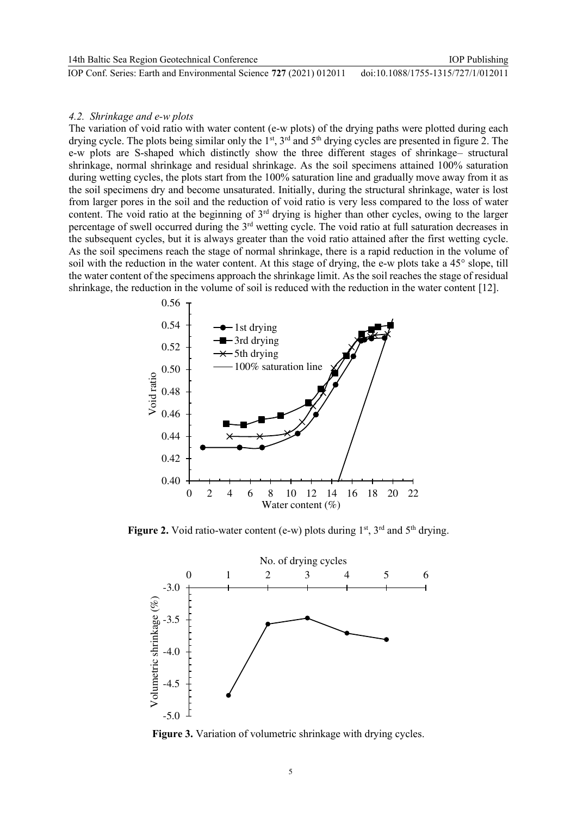## *4.2. Shrinkage and e-w plots*

The variation of void ratio with water content (e-w plots) of the drying paths were plotted during each drying cycle. The plots being similar only the 1<sup>st</sup>, 3<sup>rd</sup> and 5<sup>th</sup> drying cycles are presented in figure 2. The e-w plots are S-shaped which distinctly show the three different stages of shrinkage– structural shrinkage, normal shrinkage and residual shrinkage. As the soil specimens attained 100% saturation during wetting cycles, the plots start from the 100% saturation line and gradually move away from it as the soil specimens dry and become unsaturated. Initially, during the structural shrinkage, water is lost from larger pores in the soil and the reduction of void ratio is very less compared to the loss of water content. The void ratio at the beginning of  $3<sup>rd</sup>$  drying is higher than other cycles, owing to the larger percentage of swell occurred during the 3<sup>rd</sup> wetting cycle. The void ratio at full saturation decreases in the subsequent cycles, but it is always greater than the void ratio attained after the first wetting cycle. As the soil specimens reach the stage of normal shrinkage, there is a rapid reduction in the volume of soil with the reduction in the water content. At this stage of drying, the e-w plots take a 45° slope, till the water content of the specimens approach the shrinkage limit. As the soil reaches the stage of residual shrinkage, the reduction in the volume of soil is reduced with the reduction in the water content [12].



**Figure 2.** Void ratio-water content (e-w) plots during  $1<sup>st</sup>$ ,  $3<sup>rd</sup>$  and  $5<sup>th</sup>$  drying.



**Figure 3.** Variation of volumetric shrinkage with drying cycles.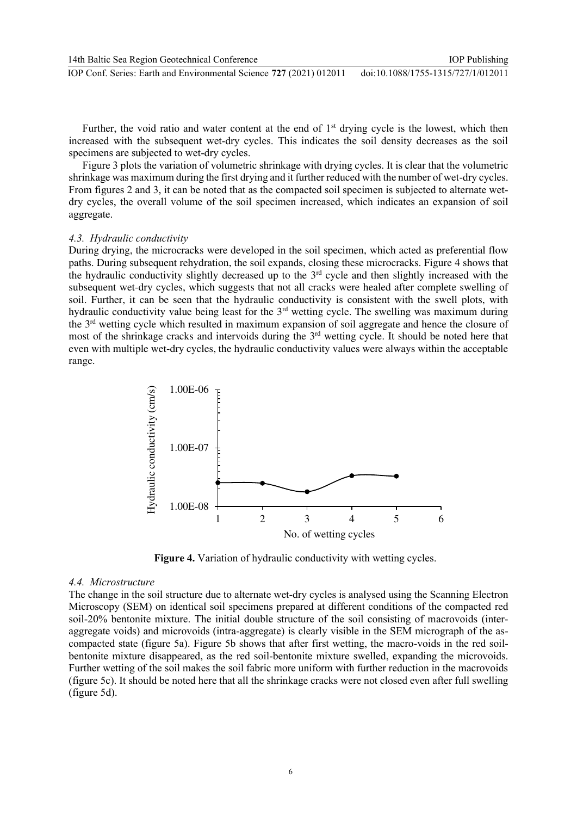Further, the void ratio and water content at the end of 1<sup>st</sup> drying cycle is the lowest, which then increased with the subsequent wet-dry cycles. This indicates the soil density decreases as the soil specimens are subjected to wet-dry cycles.

Figure 3 plots the variation of volumetric shrinkage with drying cycles. It is clear that the volumetric shrinkage was maximum during the first drying and it further reduced with the number of wet-dry cycles. From figures 2 and 3, it can be noted that as the compacted soil specimen is subjected to alternate wetdry cycles, the overall volume of the soil specimen increased, which indicates an expansion of soil aggregate.

## *4.3. Hydraulic conductivity*

During drying, the microcracks were developed in the soil specimen, which acted as preferential flow paths. During subsequent rehydration, the soil expands, closing these microcracks. Figure 4 shows that the hydraulic conductivity slightly decreased up to the  $3<sup>rd</sup>$  cycle and then slightly increased with the subsequent wet-dry cycles, which suggests that not all cracks were healed after complete swelling of soil. Further, it can be seen that the hydraulic conductivity is consistent with the swell plots, with hydraulic conductivity value being least for the 3<sup>rd</sup> wetting cycle. The swelling was maximum during the 3rd wetting cycle which resulted in maximum expansion of soil aggregate and hence the closure of most of the shrinkage cracks and intervoids during the 3rd wetting cycle. It should be noted here that even with multiple wet-dry cycles, the hydraulic conductivity values were always within the acceptable range.



**Figure 4.** Variation of hydraulic conductivity with wetting cycles.

### *4.4. Microstructure*

The change in the soil structure due to alternate wet-dry cycles is analysed using the Scanning Electron Microscopy (SEM) on identical soil specimens prepared at different conditions of the compacted red soil-20% bentonite mixture. The initial double structure of the soil consisting of macrovoids (interaggregate voids) and microvoids (intra-aggregate) is clearly visible in the SEM micrograph of the ascompacted state (figure 5a). Figure 5b shows that after first wetting, the macro-voids in the red soilbentonite mixture disappeared, as the red soil-bentonite mixture swelled, expanding the microvoids. Further wetting of the soil makes the soil fabric more uniform with further reduction in the macrovoids (figure 5c). It should be noted here that all the shrinkage cracks were not closed even after full swelling (figure 5d).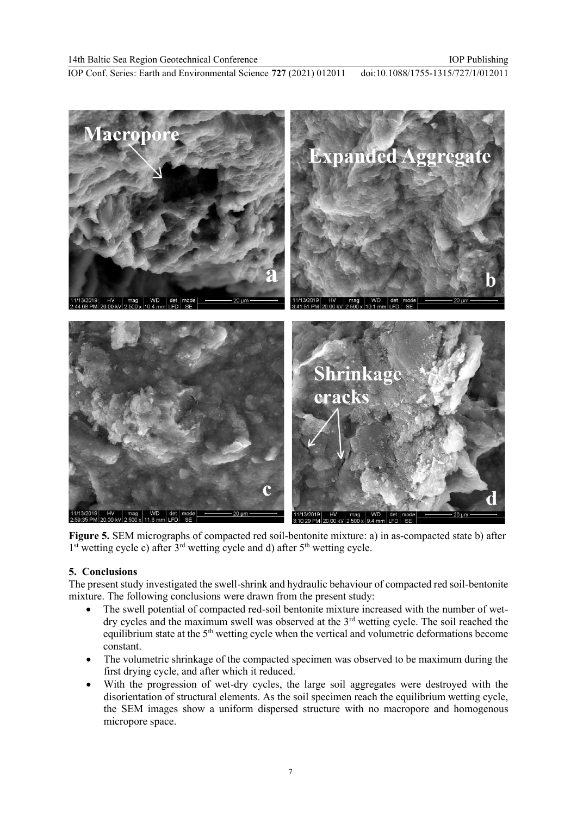IOP Conf. Series: Earth and Environmental Science **727** (2021) 012011 doi:10.1088/1755-1315/727/1/012011



**Figure 5.** SEM micrographs of compacted red soil-bentonite mixture: a) in as-compacted state b) after  $1<sup>st</sup>$  wetting cycle c) after  $3<sup>rd</sup>$  wetting cycle and d) after  $5<sup>th</sup>$  wetting cycle.

# **5. Conclusions**

The present study investigated the swell-shrink and hydraulic behaviour of compacted red soil-bentonite mixture. The following conclusions were drawn from the present study:

- The swell potential of compacted red-soil bentonite mixture increased with the number of wetdry cycles and the maximum swell was observed at the  $3<sup>rd</sup>$  wetting cycle. The soil reached the equilibrium state at the  $5<sup>th</sup>$  wetting cycle when the vertical and volumetric deformations become constant.
- The volumetric shrinkage of the compacted specimen was observed to be maximum during the first drying cycle, and after which it reduced.
- With the progression of wet-dry cycles, the large soil aggregates were destroyed with the disorientation of structural elements. As the soil specimen reach the equilibrium wetting cycle, the SEM images show a uniform dispersed structure with no macropore and homogenous micropore space.